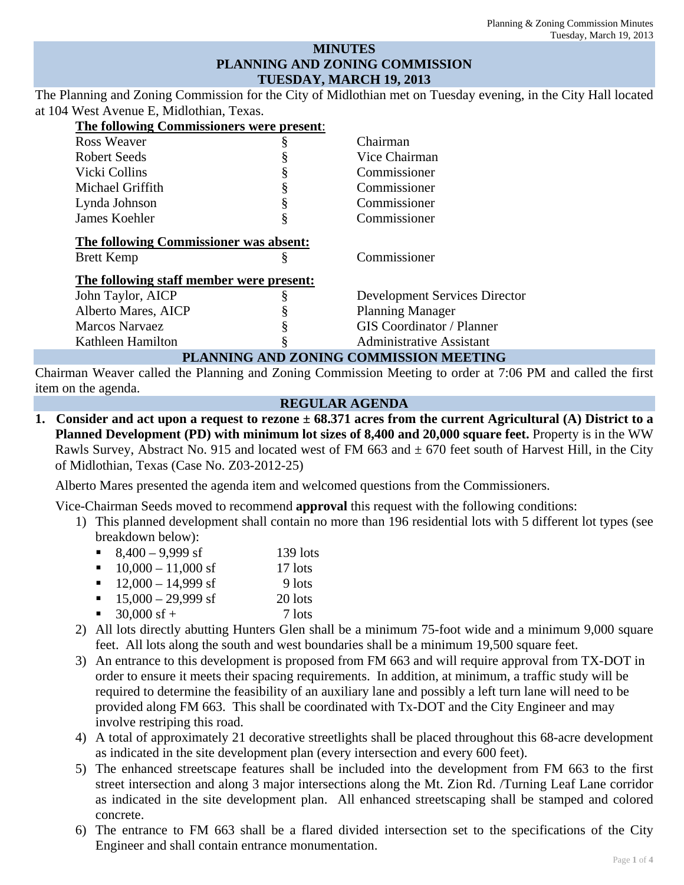### **MINUTES PLANNING AND ZONING COMMISSION TUESDAY, MARCH 19, 2013**

The Planning and Zoning Commission for the City of Midlothian met on Tuesday evening, in the City Hall located at 104 West Avenue E, Midlothian, Texas.

| The following Commissioners were present: |   |                                        |
|-------------------------------------------|---|----------------------------------------|
| Ross Weaver                               | ş | Chairman                               |
| Robert Seeds                              |   | Vice Chairman                          |
| Vicki Collins                             |   | Commissioner                           |
| Michael Griffith                          |   | Commissioner                           |
| Lynda Johnson                             | § | Commissioner                           |
| James Koehler                             | § | Commissioner                           |
| The following Commissioner was absent:    |   |                                        |
| <b>Brett Kemp</b>                         | § | Commissioner                           |
| The following staff member were present:  |   |                                        |
| John Taylor, AICP                         | ş | <b>Development Services Director</b>   |
| Alberto Mares, AICP                       |   | <b>Planning Manager</b>                |
| <b>Marcos Narvaez</b>                     |   | <b>GIS</b> Coordinator / Planner       |
| Kathleen Hamilton                         | ş | <b>Administrative Assistant</b>        |
|                                           |   | PLANNING AND ZONING COMMISSION MEETING |

Chairman Weaver called the Planning and Zoning Commission Meeting to order at 7:06 PM and called the first item on the agenda.

### **REGULAR AGENDA**

**1. Consider and act upon a request to rezone ± 68.371 acres from the current Agricultural (A) District to a Planned Development (PD) with minimum lot sizes of 8,400 and 20,000 square feet.** Property is in the WW Rawls Survey, Abstract No. 915 and located west of FM 663 and  $\pm$  670 feet south of Harvest Hill, in the City of Midlothian, Texas (Case No. Z03-2012-25)

Alberto Mares presented the agenda item and welcomed questions from the Commissioners.

Vice-Chairman Seeds moved to recommend **approval** this request with the following conditions:

- 1) This planned development shall contain no more than 196 residential lots with 5 different lot types (see breakdown below):
	- 8,400 9,999 sf 139 lots
	- $10,000 11,000$  sf 17 lots
	- $12,000 14,999$  sf 9 lots
	- $15,000 29,999$  sf 20 lots
	- 30,000 sf + 7 lots
- 2) All lots directly abutting Hunters Glen shall be a minimum 75-foot wide and a minimum 9,000 square feet. All lots along the south and west boundaries shall be a minimum 19,500 square feet.
- 3) An entrance to this development is proposed from FM 663 and will require approval from TX-DOT in order to ensure it meets their spacing requirements. In addition, at minimum, a traffic study will be required to determine the feasibility of an auxiliary lane and possibly a left turn lane will need to be provided along FM 663. This shall be coordinated with Tx-DOT and the City Engineer and may involve restriping this road.
- 4) A total of approximately 21 decorative streetlights shall be placed throughout this 68-acre development as indicated in the site development plan (every intersection and every 600 feet).
- 5) The enhanced streetscape features shall be included into the development from FM 663 to the first street intersection and along 3 major intersections along the Mt. Zion Rd. /Turning Leaf Lane corridor as indicated in the site development plan. All enhanced streetscaping shall be stamped and colored concrete.
- 6) The entrance to FM 663 shall be a flared divided intersection set to the specifications of the City Engineer and shall contain entrance monumentation.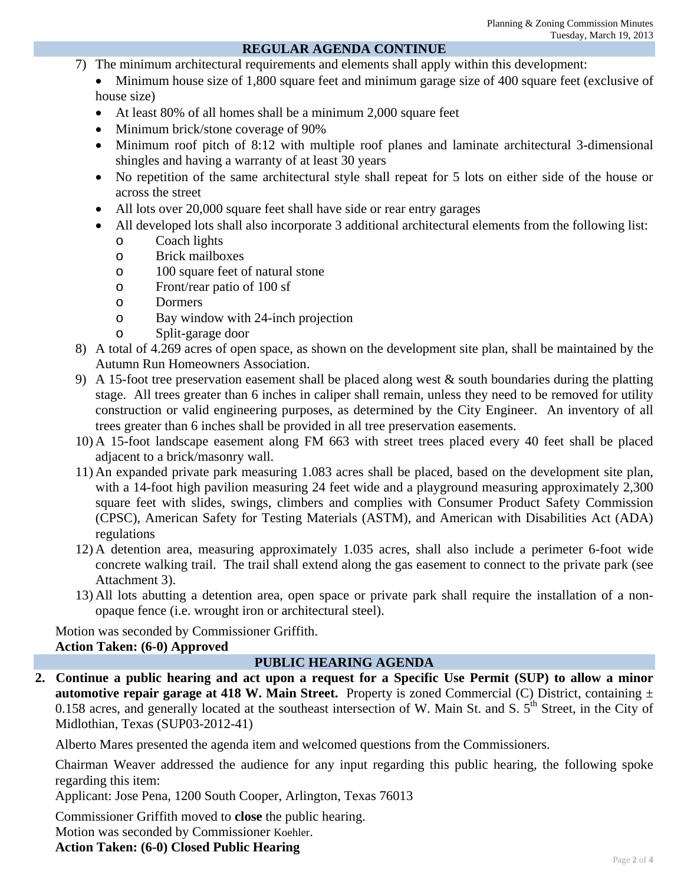## **REGULAR AGENDA CONTINUE**

- 7) The minimum architectural requirements and elements shall apply within this development:
	- Minimum house size of 1,800 square feet and minimum garage size of 400 square feet (exclusive of house size)
	- At least 80% of all homes shall be a minimum 2,000 square feet
	- Minimum brick/stone coverage of 90%
	- Minimum roof pitch of 8:12 with multiple roof planes and laminate architectural 3-dimensional shingles and having a warranty of at least 30 years
	- No repetition of the same architectural style shall repeat for 5 lots on either side of the house or across the street
	- All lots over 20,000 square feet shall have side or rear entry garages
	- All developed lots shall also incorporate 3 additional architectural elements from the following list:
		- o Coach lights
		- o Brick mailboxes
		- o 100 square feet of natural stone
		- o Front/rear patio of 100 sf
		- o Dormers
		- o Bay window with 24-inch projection
		- o Split-garage door
- 8) A total of 4.269 acres of open space, as shown on the development site plan, shall be maintained by the Autumn Run Homeowners Association.
- 9) A 15-foot tree preservation easement shall be placed along west  $\&$  south boundaries during the platting stage. All trees greater than 6 inches in caliper shall remain, unless they need to be removed for utility construction or valid engineering purposes, as determined by the City Engineer. An inventory of all trees greater than 6 inches shall be provided in all tree preservation easements.
- 10) A 15-foot landscape easement along FM 663 with street trees placed every 40 feet shall be placed adjacent to a brick/masonry wall.
- 11) An expanded private park measuring 1.083 acres shall be placed, based on the development site plan, with a 14-foot high pavilion measuring 24 feet wide and a playground measuring approximately 2,300 square feet with slides, swings, climbers and complies with Consumer Product Safety Commission (CPSC), American Safety for Testing Materials (ASTM), and American with Disabilities Act (ADA) regulations
- 12) A detention area, measuring approximately 1.035 acres, shall also include a perimeter 6-foot wide concrete walking trail. The trail shall extend along the gas easement to connect to the private park (see Attachment 3).
- 13) All lots abutting a detention area, open space or private park shall require the installation of a nonopaque fence (i.e. wrought iron or architectural steel).

Motion was seconded by Commissioner Griffith. **Action Taken: (6-0) Approved**

## **PUBLIC HEARING AGENDA**

**2. Continue a public hearing and act upon a request for a Specific Use Permit (SUP) to allow a minor automotive repair garage at 418 W. Main Street.** Property is zoned Commercial (C) District, containing ± 0.158 acres, and generally located at the southeast intersection of W. Main St. and S. 5<sup>th</sup> Street, in the City of Midlothian, Texas (SUP03-2012-41)

Alberto Mares presented the agenda item and welcomed questions from the Commissioners.

Chairman Weaver addressed the audience for any input regarding this public hearing, the following spoke regarding this item:

Applicant: Jose Pena, 1200 South Cooper, Arlington, Texas 76013

Commissioner Griffith moved to **close** the public hearing.

Motion was seconded by Commissioner Koehler.

**Action Taken: (6-0) Closed Public Hearing**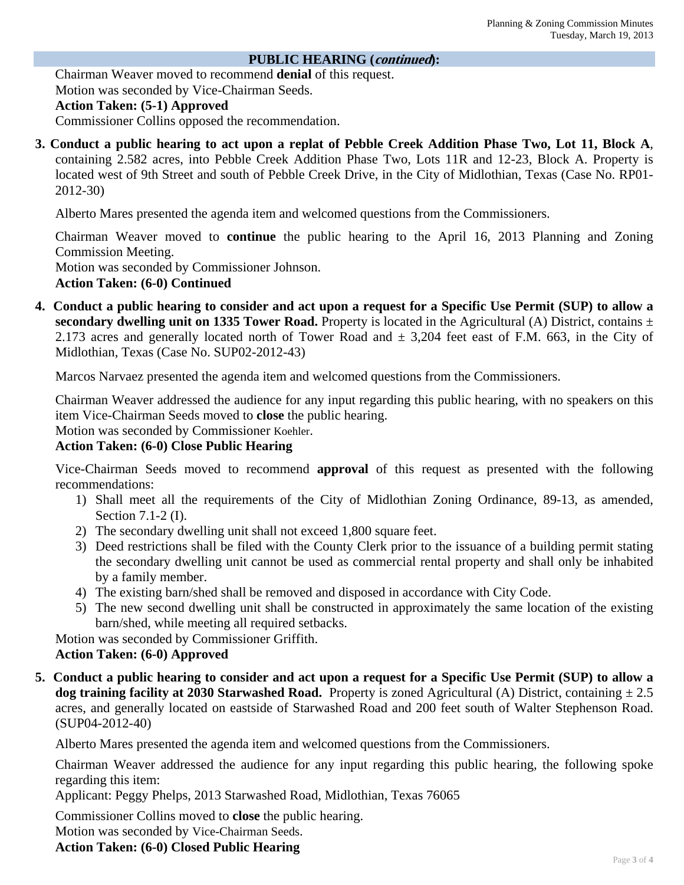#### **PUBLIC HEARING (continued):**

Chairman Weaver moved to recommend **denial** of this request. Motion was seconded by Vice-Chairman Seeds. **Action Taken: (5-1) Approved**  Commissioner Collins opposed the recommendation.

**3. Conduct a public hearing to act upon a replat of Pebble Creek Addition Phase Two, Lot 11, Block A**, containing 2.582 acres, into Pebble Creek Addition Phase Two, Lots 11R and 12-23, Block A. Property is located west of 9th Street and south of Pebble Creek Drive, in the City of Midlothian, Texas (Case No. RP01- 2012-30)

Alberto Mares presented the agenda item and welcomed questions from the Commissioners.

Chairman Weaver moved to **continue** the public hearing to the April 16, 2013 Planning and Zoning Commission Meeting.

Motion was seconded by Commissioner Johnson.

**Action Taken: (6-0) Continued** 

**4. Conduct a public hearing to consider and act upon a request for a Specific Use Permit (SUP) to allow a secondary dwelling unit on 1335 Tower Road.** Property is located in the Agricultural (A) District, contains  $\pm$ 2.173 acres and generally located north of Tower Road and  $\pm$  3,204 feet east of F.M. 663, in the City of Midlothian, Texas (Case No. SUP02-2012-43)

Marcos Narvaez presented the agenda item and welcomed questions from the Commissioners.

Chairman Weaver addressed the audience for any input regarding this public hearing, with no speakers on this item Vice-Chairman Seeds moved to **close** the public hearing.

Motion was seconded by Commissioner Koehler.

# **Action Taken: (6-0) Close Public Hearing**

Vice-Chairman Seeds moved to recommend **approval** of this request as presented with the following recommendations:

- 1) Shall meet all the requirements of the City of Midlothian Zoning Ordinance, 89-13, as amended, Section 7.1-2 (I).
- 2) The secondary dwelling unit shall not exceed 1,800 square feet.
- 3) Deed restrictions shall be filed with the County Clerk prior to the issuance of a building permit stating the secondary dwelling unit cannot be used as commercial rental property and shall only be inhabited by a family member.
- 4) The existing barn/shed shall be removed and disposed in accordance with City Code.
- 5) The new second dwelling unit shall be constructed in approximately the same location of the existing barn/shed, while meeting all required setbacks.

Motion was seconded by Commissioner Griffith.

## **Action Taken: (6-0) Approved**

**5. Conduct a public hearing to consider and act upon a request for a Specific Use Permit (SUP) to allow a dog training facility at 2030 Starwashed Road.** Property is zoned Agricultural (A) District, containing  $\pm 2.5$ acres, and generally located on eastside of Starwashed Road and 200 feet south of Walter Stephenson Road. (SUP04-2012-40)

Alberto Mares presented the agenda item and welcomed questions from the Commissioners.

Chairman Weaver addressed the audience for any input regarding this public hearing, the following spoke regarding this item:

Applicant: Peggy Phelps, 2013 Starwashed Road, Midlothian, Texas 76065

Commissioner Collins moved to **close** the public hearing.

Motion was seconded by Vice-Chairman Seeds.

**Action Taken: (6-0) Closed Public Hearing**